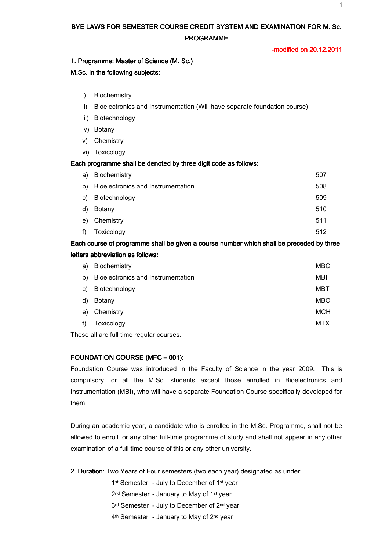# BYE LAWS FOR SEMESTER COURSE CREDIT SYSTEM AND EXAMINATION FOR M. Sc. **PROGRAMME**

-modified on 20.12.2011 -modified on 20.12.2011 modified 20.12.2011

### 1. Programme: Master of Science (M. Sc.)

# M.Sc. in the following subjects:

- i) Biochemistry
- ii) Bioelectronics and Instrumentation (Will have separate foundation course)
- iii) Biotechnology
- iv) Botany
- v) Chemistry
- vi) Toxicology

### Each programme shall be denoted by three digit code as follows:

| a) | Biochemistry                          | 507 |
|----|---------------------------------------|-----|
|    | b) Bioelectronics and Instrumentation | 508 |
| C) | Biotechnology                         | 509 |
| d) | Botany                                | 510 |
| e) | Chemistry                             | 511 |
| f) | Toxicology                            | 512 |

Each course of programme shall be given a course number which shall be preceded by three letters abbreviation as follows:

| a) | Biochemistry                       | <b>MBC</b> |
|----|------------------------------------|------------|
| b) | Bioelectronics and Instrumentation | MBI        |
| C) | Biotechnology                      | мвт        |
| d) | Botany                             | <b>MBO</b> |
| e) | Chemistry                          | <b>MCH</b> |
| f) | Toxicology                         | <b>MTX</b> |
|    |                                    |            |

These all are full time regular courses.

### FOUNDATION COURSE (MFC – 001):

Foundation Course was introduced in the Faculty of Science in the year 2009. This is compulsory for all the M.Sc. students except those enrolled in Bioelectronics and Instrumentation (MBI), who will have a separate Foundation Course specifically developed for them.

During an academic year, a candidate who is enrolled in the M.Sc. Programme, shall not be allowed to enroll for any other full-time programme of study and shall not appear in any other examination of a full time course of this or any other university.

2. Duration: Two Years of Four semesters (two each year) designated as under:

1<sup>st</sup> Semester - July to December of 1<sup>st</sup> year

- 2<sup>nd</sup> Semester January to May of 1<sup>st</sup> year
- 3rd Semester July to December of 2nd year
- 4<sup>th</sup> Semester January to May of 2<sup>nd</sup> year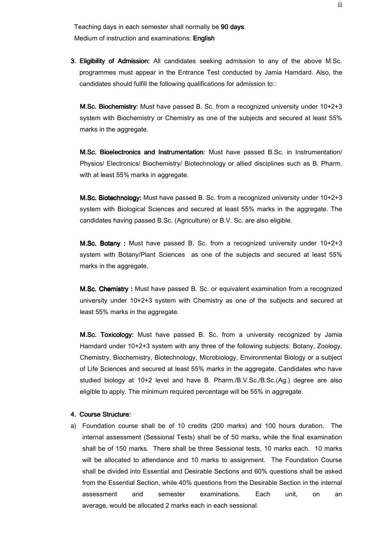Teaching days in each semester shall normally be 90 days. Medium of instruction and examinations: English

3. Eligibility of Admission: All candidates seeking admission to any of the above M.Sc. programmes must appear in the Entrance Test conducted by Jamia Hamdard. Also, the candidates should fulfill the following qualifications for admission to: :

M.Sc. Biochemistry: Must have passed B. Sc. from a recognized university under 10+2+3 system with Biochemistry or Chemistry as one of the subjects and secured at least 55% marks in the aggregate.

M.Sc. Bioelectronics and Instrumentation: Must have passed B.Sc. in Instrumentation/ Physics/ Electronics/ Biochemistry/ Biotechnology or allied disciplines such as B. Pharm. with at least 55% marks in aggregate.

M.Sc. Biotechnology: Must have passed B. Sc. from a recognized university under  $10+2+3$ system with Biological Sciences and secured at least 55% marks in the aggregate. The candidates having passed B.Sc. (Agriculture) or B.V. Sc. are also eligible.

**M.Sc. Botany** : Must have passed B. Sc. from a recognized university under  $10+2+3$ system with Botany/Plant Sciences as one of the subjects and secured at least 55% marks in the aggregate.

M.Sc. Chemistry: Must have passed B. Sc. or equivalent examination from a recognized university under 10+2+3 system with Chemistry as one of the subjects and secured at least 55% marks in the aggregate.

M.Sc. Toxicology: Must have passed B. Sc. from a university recognized by Jamia Hamdard under 10+2+3 system with any three of the following subjects: Botany, Zoology, Chemistry, Biochemistry, Biotechnology, Microbiology, Environmental Biology or a subject of Life Sciences and secured at least 55% marks in the aggregate. Candidates who have studied biology at 10+2 level and have B. Pharm./B.V.Sc./B.Sc.(Ag.) degree are also eligible to apply. The minimum required percentage will be 55% in aggregate.

### 4. Course Structure:

a) Foundation course shall be of 10 credits (200 marks) and 100 hours duration. The internal assessment (Sessional Tests) shall be of 50 marks, while the final examination shall be of 150 marks. There shall be three Sessional tests, 10 marks each. 10 marks will be allocated to attendance and 10 marks to assignment. The Foundation Course shall be divided into Essential and Desirable Sections and 60% questions shall be asked from the Essential Section, while 40% questions from the Desirable Section in the internal assessment and semester examinations. Each unit, on an average, would be allocated 2 marks each in each sessional.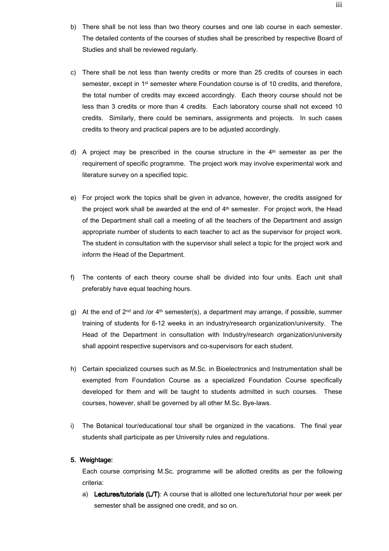- b) There shall be not less than two theory courses and one lab course in each semester. The detailed contents of the courses of studies shall be prescribed by respective Board of Studies and shall be reviewed regularly.
- c) There shall be not less than twenty credits or more than 25 credits of courses in each semester, except in 1<sup>st</sup> semester where Foundation course is of 10 credits, and therefore, the total number of credits may exceed accordingly. Each theory course should not be less than 3 credits or more than 4 credits. Each laboratory course shall not exceed 10 credits. Similarly, there could be seminars, assignments and projects. In such cases credits to theory and practical papers are to be adjusted accordingly.
- d) A project may be prescribed in the course structure in the  $4<sup>th</sup>$  semester as per the requirement of specific programme. The project work may involve experimental work and literature survey on a specified topic.
- e) For project work the topics shall be given in advance, however, the credits assigned for the project work shall be awarded at the end of  $4<sup>th</sup>$  semester. For project work, the Head of the Department shall call a meeting of all the teachers of the Department and assign appropriate number of students to each teacher to act as the supervisor for project work. The student in consultation with the supervisor shall select a topic for the project work and inform the Head of the Department.
- f) The contents of each theory course shall be divided into four units. Each unit shall preferably have equal teaching hours.
- g) At the end of  $2^{nd}$  and /or  $4^{th}$  semester(s), a department may arrange, if possible, summer training of students for 6-12 weeks in an industry/research organization/university. The Head of the Department in consultation with Industry/research organization/university shall appoint respective supervisors and co-supervisors for each student.
- h) Certain specialized courses such as M.Sc. in Bioelectronics and Instrumentation shall be exempted from Foundation Course as a specialized Foundation Course specifically developed for them and will be taught to students admitted in such courses. These courses, however, shall be governed by all other M.Sc. Bye-laws.
- i) The Botanical tour/educational tour shall be organized in the vacations. The final year students shall participate as per University rules and regulations.

# 5. Weightage:

Each course comprising M.Sc. programme will be allotted credits as per the following criteria:

a) Lectures/tutorials (L/T): A course that is allotted one lecture/tutorial hour per week per semester shall be assigned one credit, and so on.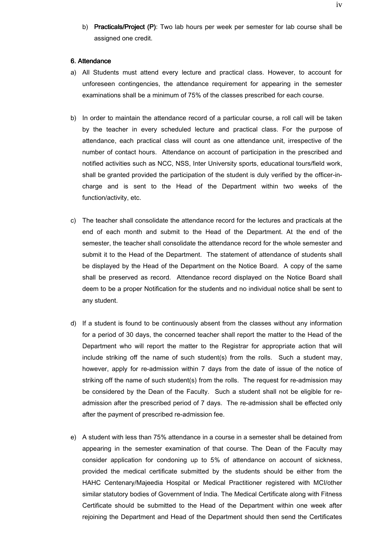b) Practicals/Project (P): Two lab hours per week per semester for lab course shall be assigned one credit.

### 6. Attendance

- a) All Students must attend every lecture and practical class. However, to account for unforeseen contingencies, the attendance requirement for appearing in the semester examinations shall be a minimum of 75% of the classes prescribed for each course.
- b) In order to maintain the attendance record of a particular course, a roll call will be taken by the teacher in every scheduled lecture and practical class. For the purpose of attendance, each practical class will count as one attendance unit, irrespective of the number of contact hours. Attendance on account of participation in the prescribed and notified activities such as NCC, NSS, Inter University sports, educational tours/field work, shall be granted provided the participation of the student is duly verified by the officer-incharge and is sent to the Head of the Department within two weeks of the function/activity, etc.
- c) The teacher shall consolidate the attendance record for the lectures and practicals at the end of each month and submit to the Head of the Department. At the end of the semester, the teacher shall consolidate the attendance record for the whole semester and submit it to the Head of the Department. The statement of attendance of students shall be displayed by the Head of the Department on the Notice Board. A copy of the same shall be preserved as record. Attendance record displayed on the Notice Board shall deem to be a proper Notification for the students and no individual notice shall be sent to any student.
- d) If a student is found to be continuously absent from the classes without any information for a period of 30 days, the concerned teacher shall report the matter to the Head of the Department who will report the matter to the Registrar for appropriate action that will include striking off the name of such student(s) from the rolls. Such a student may, however, apply for re-admission within 7 days from the date of issue of the notice of striking off the name of such student(s) from the rolls. The request for re-admission may be considered by the Dean of the Faculty. Such a student shall not be eligible for readmission after the prescribed period of 7 days. The re-admission shall be effected only after the payment of prescribed re-admission fee.
- e) A student with less than 75% attendance in a course in a semester shall be detained from appearing in the semester examination of that course. The Dean of the Faculty may consider application for condoning up to 5% of attendance on account of sickness, provided the medical certificate submitted by the students should be either from the HAHC Centenary/Majeedia Hospital or Medical Practitioner registered with MCI/other similar statutory bodies of Government of India. The Medical Certificate along with Fitness Certificate should be submitted to the Head of the Department within one week after rejoining the Department and Head of the Department should then send the Certificates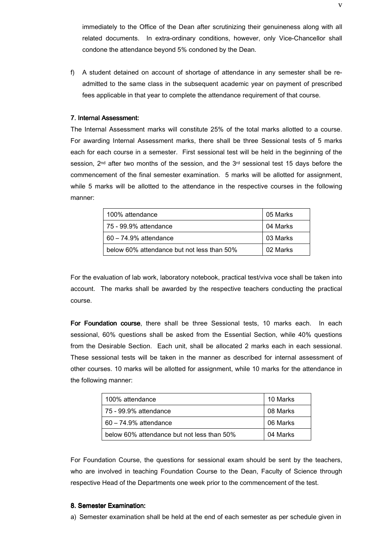immediately to the Office of the Dean after scrutinizing their genuineness along with all related documents. In extra-ordinary conditions, however, only Vice-Chancellor shall condone the attendance beyond 5% condoned by the Dean.

f) A student detained on account of shortage of attendance in any semester shall be readmitted to the same class in the subsequent academic year on payment of prescribed fees applicable in that year to complete the attendance requirement of that course.

## 7. Internal Assessment:

The Internal Assessment marks will constitute 25% of the total marks allotted to a course. For awarding Internal Assessment marks, there shall be three Sessional tests of 5 marks each for each course in a semester. First sessional test will be held in the beginning of the session,  $2^{nd}$  after two months of the session, and the  $3^{rd}$  sessional test 15 days before the commencement of the final semester examination. 5 marks will be allotted for assignment, while 5 marks will be allotted to the attendance in the respective courses in the following manner:

| 100% attendance                            | 05 Marks |
|--------------------------------------------|----------|
| 75 - 99.9% attendance                      | 04 Marks |
| $60 - 74.9%$ attendance                    | 03 Marks |
| below 60% attendance but not less than 50% | 02 Marks |

For the evaluation of lab work, laboratory notebook, practical test/viva voce shall be taken into account. The marks shall be awarded by the respective teachers conducting the practical course.

For Foundation course, there shall be three Sessional tests, 10 marks each. In each sessional, 60% questions shall be asked from the Essential Section, while 40% questions from the Desirable Section. Each unit, shall be allocated 2 marks each in each sessional. These sessional tests will be taken in the manner as described for internal assessment of other courses. 10 marks will be allotted for assignment, while 10 marks for the attendance in the following manner:

| 100% attendance                            | 10 Marks |
|--------------------------------------------|----------|
| 75 - 99.9% attendance                      | 08 Marks |
| $60 - 74.9\%$ attendance                   | 06 Marks |
| below 60% attendance but not less than 50% | 04 Marks |

For Foundation Course, the questions for sessional exam should be sent by the teachers, who are involved in teaching Foundation Course to the Dean, Faculty of Science through respective Head of the Departments one week prior to the commencement of the test.

# 8. Semester Examination:

a) Semester examination shall be held at the end of each semester as per schedule given in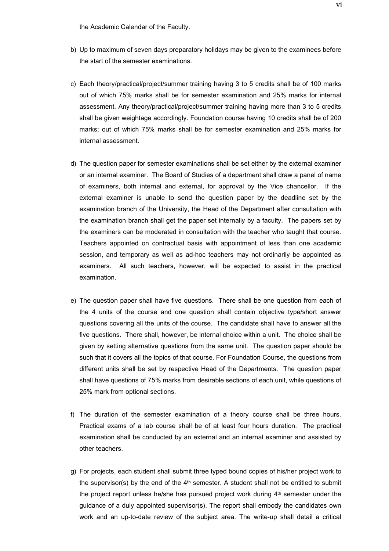the Academic Calendar of the Faculty.

- b) Up to maximum of seven days preparatory holidays may be given to the examinees before the start of the semester examinations.
- c) Each theory/practical/project/summer training having 3 to 5 credits shall be of 100 marks out of which 75% marks shall be for semester examination and 25% marks for internal assessment. Any theory/practical/project/summer training having more than 3 to 5 credits shall be given weightage accordingly. Foundation course having 10 credits shall be of 200 marks; out of which 75% marks shall be for semester examination and 25% marks for internal assessment.
- d) The question paper for semester examinations shall be set either by the external examiner or an internal examiner. The Board of Studies of a department shall draw a panel of name of examiners, both internal and external, for approval by the Vice chancellor. If the external examiner is unable to send the question paper by the deadline set by the examination branch of the University, the Head of the Department after consultation with the examination branch shall get the paper set internally by a faculty. The papers set by the examiners can be moderated in consultation with the teacher who taught that course. Teachers appointed on contractual basis with appointment of less than one academic session, and temporary as well as ad-hoc teachers may not ordinarily be appointed as examiners. All such teachers, however, will be expected to assist in the practical examination.
- e) The question paper shall have five questions. There shall be one question from each of the 4 units of the course and one question shall contain objective type/short answer questions covering all the units of the course. The candidate shall have to answer all the five questions. There shall, however, be internal choice within a unit. The choice shall be given by setting alternative questions from the same unit. The question paper should be such that it covers all the topics of that course. For Foundation Course, the questions from different units shall be set by respective Head of the Departments. The question paper shall have questions of 75% marks from desirable sections of each unit, while questions of 25% mark from optional sections.
- f) The duration of the semester examination of a theory course shall be three hours. Practical exams of a lab course shall be of at least four hours duration. The practical examination shall be conducted by an external and an internal examiner and assisted by other teachers.
- g) For projects, each student shall submit three typed bound copies of his/her project work to the supervisor(s) by the end of the  $4<sup>th</sup>$  semester. A student shall not be entitled to submit the project report unless he/she has pursued project work during 4<sup>th</sup> semester under the guidance of a duly appointed supervisor(s). The report shall embody the candidates own work and an up-to-date review of the subject area. The write-up shall detail a critical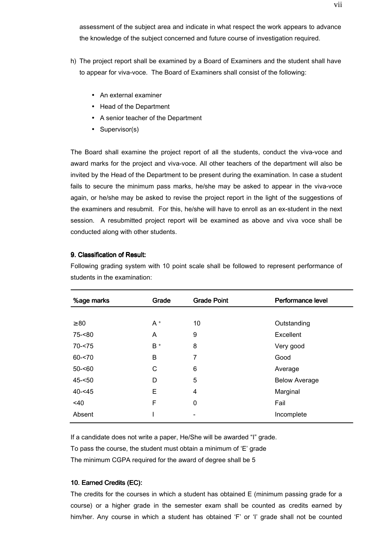assessment of the subject area and indicate in what respect the work appears to advance the knowledge of the subject concerned and future course of investigation required.

- h) The project report shall be examined by a Board of Examiners and the student shall have to appear for viva-voce. The Board of Examiners shall consist of the following:
	- An external examiner
	- Head of the Department
	- A senior teacher of the Department
	- Supervisor(s)

The Board shall examine the project report of all the students, conduct the viva-voce and award marks for the project and viva-voce. All other teachers of the department will also be invited by the Head of the Department to be present during the examination. In case a student fails to secure the minimum pass marks, he/she may be asked to appear in the viva-voce again, or he/she may be asked to revise the project report in the light of the suggestions of the examiners and resubmit. For this, he/she will have to enroll as an ex-student in the next session. A resubmitted project report will be examined as above and viva voce shall be conducted along with other students.

# 9. Classification of Result:

Following grading system with 10 point scale shall be followed to represent performance of students in the examination:

| %age marks | Grade | <b>Grade Point</b>           | Performance level    |
|------------|-------|------------------------------|----------------------|
|            |       |                              |                      |
| $\geq 80$  | $A^+$ | 10                           | Outstanding          |
| $75 - 80$  | A     | 9                            | Excellent            |
| $70 - 75$  | $B^+$ | 8                            | Very good            |
| $60 - 70$  | В     | 7                            | Good                 |
| $50 - 60$  | С     | 6                            | Average              |
| $45 - 50$  | D     | 5                            | <b>Below Average</b> |
| $40 - 45$  | Е     | 4                            | Marginal             |
| <40        | F     | $\mathbf 0$                  | Fail                 |
| Absent     |       | $\qquad \qquad \blacksquare$ | Incomplete           |

If a candidate does not write a paper, He/She will be awarded "I" grade. To pass the course, the student must obtain a minimum of 'E' grade

The minimum CGPA required for the award of degree shall be 5

# 10. Earned Credits (EC):

The credits for the courses in which a student has obtained E (minimum passing grade for a course) or a higher grade in the semester exam shall be counted as credits earned by him/her. Any course in which a student has obtained 'F' or 'I' grade shall not be counted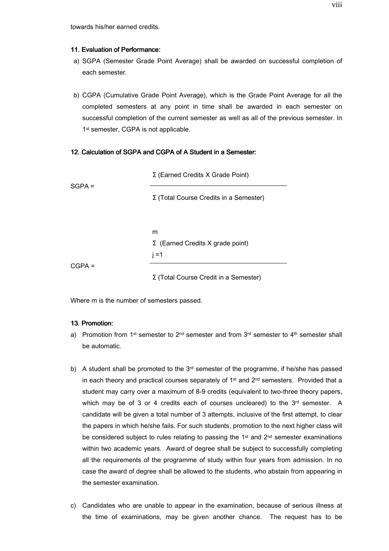towards his/her earned credits.

#### 11. Evaluation of Performance:

- a) SGPA (Semester Grade Point Average) shall be awarded on successful completion of each semester.
- b) CGPA (Cumulative Grade Point Average), which is the Grade Point Average for all the completed semesters at any point in time shall be awarded in each semester on successful completion of the current semester as well as all of the previous semester. In 1<sup>st</sup> semester, CGPA is not applicable.

### 12. Calculation of SGPA and CGPA of A Student in a Semester:

|          | $\Sigma$ (Earned Credits X Grade Point)       |
|----------|-----------------------------------------------|
| $SGPA =$ |                                               |
|          | $\Sigma$ (Total Course Credits in a Semester) |
|          |                                               |
|          |                                               |
|          | m                                             |
|          | $\Sigma$ (Earned Credits X grade point)       |
|          | $j = 1$                                       |
| $CGPA =$ |                                               |
|          | $\Sigma$ (Total Course Credit in a Semester)  |

Where m is the number of semesters passed.

### 13. Promotion:

- a) Promotion from 1<sup>st</sup> semester to 2<sup>nd</sup> semester and from 3<sup>rd</sup> semester to 4<sup>th</sup> semester shall be automatic.
- b) A student shall be promoted to the  $3<sup>rd</sup>$  semester of the programme, if he/she has passed in each theory and practical courses separately of 1<sup>st</sup> and 2<sup>nd</sup> semesters. Provided that a student may carry over a maximum of 8-9 credits (equivalent to two-three theory papers, which may be of 3 or 4 credits each of courses uncleared) to the  $3^{rd}$  semester. A candidate will be given a total number of 3 attempts, inclusive of the first attempt, to clear the papers in which he/she fails. For such students, promotion to the next higher class will be considered subject to rules relating to passing the 1<sup>st</sup> and 2<sup>nd</sup> semester examinations within two academic years. Award of degree shall be subject to successfully completing all the requirements of the programme of study within four years from admission. In no case the award of degree shall be allowed to the students, who abstain from appearing in the semester examination.
- c) Candidates who are unable to appear in the examination, because of serious illness at the time of examinations, may be given another chance. The request has to be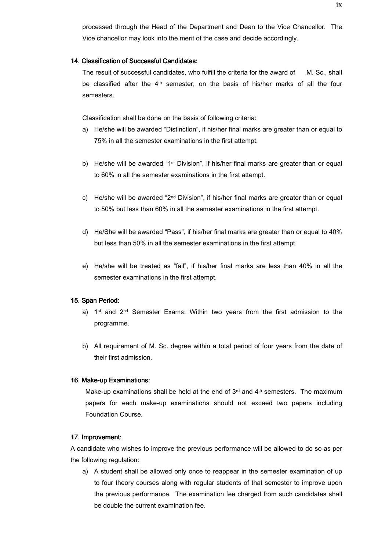processed through the Head of the Department and Dean to the Vice Chancellor. The Vice chancellor may look into the merit of the case and decide accordingly.

# 14. Classification of Successful Candidates:

The result of successful candidates, who fulfill the criteria for the award of M. Sc., shall be classified after the  $4<sup>th</sup>$  semester, on the basis of his/her marks of all the four semesters.

Classification shall be done on the basis of following criteria:

- a) He/she will be awarded "Distinction", if his/her final marks are greater than or equal to 75% in all the semester examinations in the first attempt.
- b) He/she will be awarded "1<sup>st</sup> Division", if his/her final marks are greater than or equal to 60% in all the semester examinations in the first attempt.
- c) He/she will be awarded " $2<sup>nd</sup>$  Division", if his/her final marks are greater than or equal to 50% but less than 60% in all the semester examinations in the first attempt.
- d) He/She will be awarded "Pass", if his/her final marks are greater than or equal to 40% but less than 50% in all the semester examinations in the first attempt.
- e) He/she will be treated as "fail", if his/her final marks are less than 40% in all the semester examinations in the first attempt.

#### 15. Span Period:

- a) 1st and 2nd Semester Exams: Within two years from the first admission to the programme.
- b) All requirement of M. Sc. degree within a total period of four years from the date of their first admission.

#### 16. Make-up Examinations:

Make-up examinations shall be held at the end of  $3<sup>rd</sup>$  and  $4<sup>th</sup>$  semesters. The maximum papers for each make-up examinations should not exceed two papers including Foundation Course.

### 17. Improvement:

A candidate who wishes to improve the previous performance will be allowed to do so as per the following regulation:

a) A student shall be allowed only once to reappear in the semester examination of up to four theory courses along with regular students of that semester to improve upon the previous performance. The examination fee charged from such candidates shall be double the current examination fee.